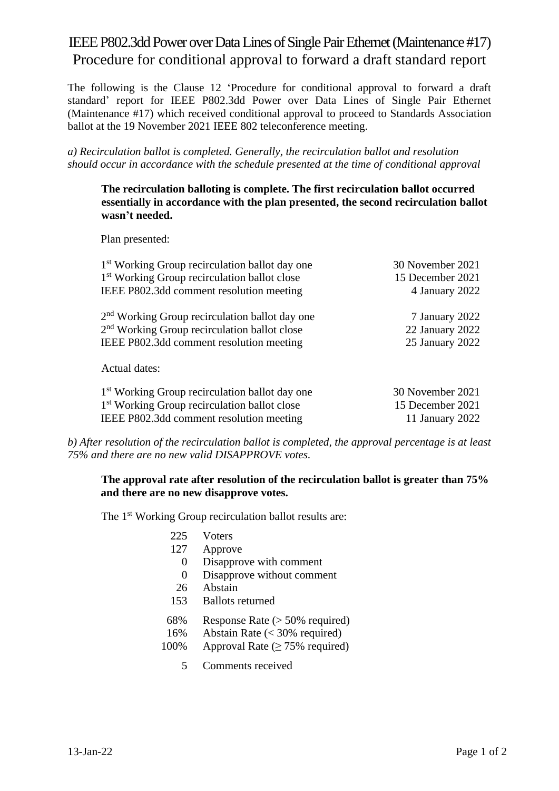## IEEE P802.3dd Power over Data Lines of Single Pair Ethernet (Maintenance #17) Procedure for conditional approval to forward a draft standard report

The following is the Clause 12 'Procedure for conditional approval to forward a draft standard' report for IEEE P802.3dd Power over Data Lines of Single Pair Ethernet (Maintenance #17) which received conditional approval to proceed to Standards Association ballot at the 19 November 2021 IEEE 802 teleconference meeting.

*a) Recirculation ballot is completed. Generally, the recirculation ballot and resolution should occur in accordance with the schedule presented at the time of conditional approval*

#### **The recirculation balloting is complete. The first recirculation ballot occurred essentially in accordance with the plan presented, the second recirculation ballot wasn't needed.**

Plan presented:

| 1 <sup>st</sup> Working Group recirculation ballot day one | 30 November 2021 |
|------------------------------------------------------------|------------------|
| 1 <sup>st</sup> Working Group recirculation ballot close   | 15 December 2021 |
| IEEE P802.3dd comment resolution meeting                   | 4 January 2022   |
| 2 <sup>nd</sup> Working Group recirculation ballot day one | 7 January 2022   |
| 2 <sup>nd</sup> Working Group recirculation ballot close   | 22 January 2022  |
| IEEE P802.3dd comment resolution meeting                   | 25 January 2022  |
| Actual dates:                                              |                  |
| 1 <sup>st</sup> Working Group recirculation ballot day one | 30 November 2021 |
| 1 <sup>st</sup> Working Group recirculation ballot close   | 15 December 2021 |
| IEEE P802.3dd comment resolution meeting                   | 11 January 2022  |

*b) After resolution of the recirculation ballot is completed, the approval percentage is at least 75% and there are no new valid DISAPPROVE votes.*

## **The approval rate after resolution of the recirculation ballot is greater than 75% and there are no new disapprove votes.**

The 1<sup>st</sup> Working Group recirculation ballot results are:

- 225 Voters
- 127 Approve
- 0 Disapprove with comment
- 0 Disapprove without comment
- 26 Abstain
- 153 Ballots returned
- 68% Response Rate (> 50% required)
- 16% Abstain Rate (< 30% required)
- 100% Approval Rate  $(\geq 75\%$  required)
	- 5 Comments received